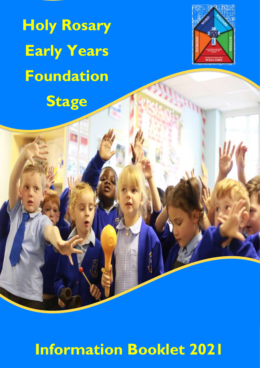**Holy Rosary Early Years Foundation**

**Stage**

Ĭ



# **Information Booklet 2021**

 $\mathbf{V}$ 

ļ.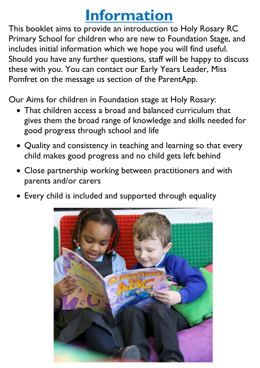### **Information**

This booklet aims to provide an introduction to Holy Rosary RC Primary School for children who are new to Foundation Stage, and includes initial information which we hope you will find useful. Should you have any further questions, staff will be happy to discuss these with you. You can contact our Early Years Leader, Miss Should you have any further questions, staff will be ha<sub>l</sub><br>these with you. You can contact our Early Years Lead<br>Pomfret on the message us section of the ParentApp. is<br>im

Our Aims for children in Foundation stage at Holy Rosary:

- That children access a broad and balanced curriculum that gives them the broad range of knowledge and skills needed for good progress through school and life Ì
- Quality and consistency in teaching and learning so that every child makes good progress and no child gets left behind
- Close partnership working between practitioners and with parents and/or carers
- Every child is included and supported through equality

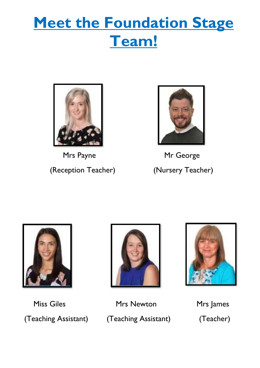## **Meet the Foundation Stage Team!**



Mrs Payne Mr George



(Reception Teacher) (Nursery Teacher)





Miss Giles **Mrs Newton** Mrs James (Teaching Assistant) (Teaching Assistant) (Teacher)

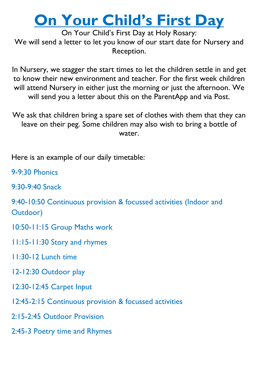### **On Your Child's First Day**

On Your Child's First Day at Holy Rosary: We will send a letter to let you know of our start date for Nursery and Reception.

 In Nursery, we stagger the start times to let the children settle in and get .<br>. to know their new environment and teacher. For the first week children will attend Nursery in either just the morning or just the afternoon. We will send you a letter about this on the ParentApp and via Post.

 We ask that children bring a spare set of clothes with them that they can leave on their peg. Some children may also wish to bring a bottle of water.

יו<br>' Here is an example of our daily timetable:

Ī 9-9:30 Phonics

 $\ddot{\phantom{0}}$ 9:30-9:40 Snack

 $\overline{\phantom{0}}$ 9:40-10:50 Continuous provision & focussed activities (Indoor and Outdoor)

 $\overline{r}$ 10:50-11:15 Group Maths work

11:15-11:30 Story and rhymes

11:30-12 Lunch time

12-12:30 Outdoor play

12:30-12:45 Carpet Input

12:45-2:15 Continuous provision & focussed activities

2:15-2:45 Outdoor Provision

2:45-3 Poetry time and Rhymes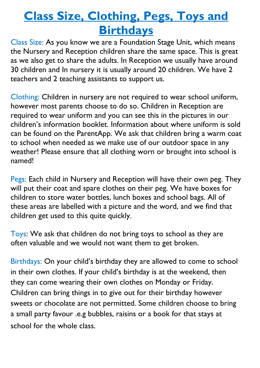#### **Class Size, Clothing, Pegs, Toys and Birthdays**

l. the Nursery and Reception children share the same space. This is great 30 children and In nursery it is usually around 20 children. We have 2  $\ddot{\phantom{0}}$ Class Size: As you know we are a Foundation Stage Unit, which means as we also get to share the adults. In Reception we usually have around teachers and 2 teaching assistants to support us.

 Clothing: Children in nursery are not required to wear school uniform, required to wear uniform and you can see this in the pictures in our .<br>` to school when needed as we make use of our outdoor space in any named! however most parents choose to do so. Children in Reception are children's information booklet. Information about where uniform is sold can be found on the ParentApp. We ask that children bring a warm coat weather! Please ensure that all clothing worn or brought into school is

Pegs: Each child in Nursery and Reception will have their own peg. They ו<br>- these areas are labelled with a picture and the word, and we find that will put their coat and spare clothes on their peg. We have boxes for children to store water bottles, lunch boxes and school bags. All of children get used to this quite quickly.

۔<br>م Toys: We ask that children do not bring toys to school as they are often valuable and we would not want them to get broken.

J in their own clothes. If your child's birthday is at the weekend, then יי<br>. sweets or chocolate are not permitted. Some children choose to bring Ì Birthdays: On your child's birthday they are allowed to come to school they can come wearing their own clothes on Monday or Friday. Children can bring things in to give out for their birthday however a small party favour .e.g bubbles, raisins or a book for that stays at school for the whole class.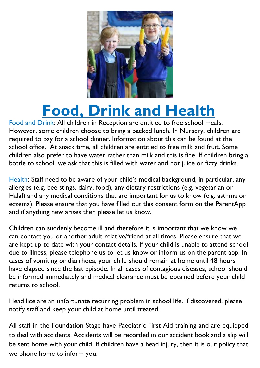

# **Food, Drink and Health**

 However, some children choose to bring a packed lunch. In Nursery, children are school office. At snack time, all children are entitled to free milk and fruit. Some bottle to school, we ask that this is filled with water and not juice or fizzy drinks. Food and Drink: All children in Reception are entitled to free school meals. required to pay for a school dinner. Information about this can be found at the children also prefer to have water rather than milk and this is fine. If children bring a

Health: Staff need to be aware of your child's medical background, in particular, any anci gies (e.g. bee stings, dan ), 100d), any dietary restrictions (e.g. vegetarian or<br>Halal) and any medical conditions that are important for us to know (e.g. asthma or eczema). Trease ensure unat you nave mied out uns<br>and if anything new arises then please let us know. allergies (e.g. bee stings, dairy, food), any dietary restrictions (e.g. vegetarian or eczema). Please ensure that you have filled out this consent form on the ParentApp

 $\overline{a}$  can contact you or another adult relative/friend at all times. Please ensure that we due to illness, please telephone us to let us know or inform us on the parent app. In have elapsed since the last episode. In all cases of contagious diseases, school should returns to school. Children can suddenly become ill and therefore it is important that we know we are kept up to date with your contact details. If your child is unable to attend school cases of vomiting or diarrhoea, your child should remain at home until 48 hours be informed immediately and medical clearance must be obtained before your child

 Head lice are an unfortunate recurring problem in school life. If discovered, please notify staff and keep your child at home until treated.

 to deal with accidents. Accidents will be recorded in our accident book and a slip will All staff in the Foundation Stage have Paediatric First Aid training and are equipped be sent home with your child. If children have a head injury, then it is our policy that we phone home to inform you.